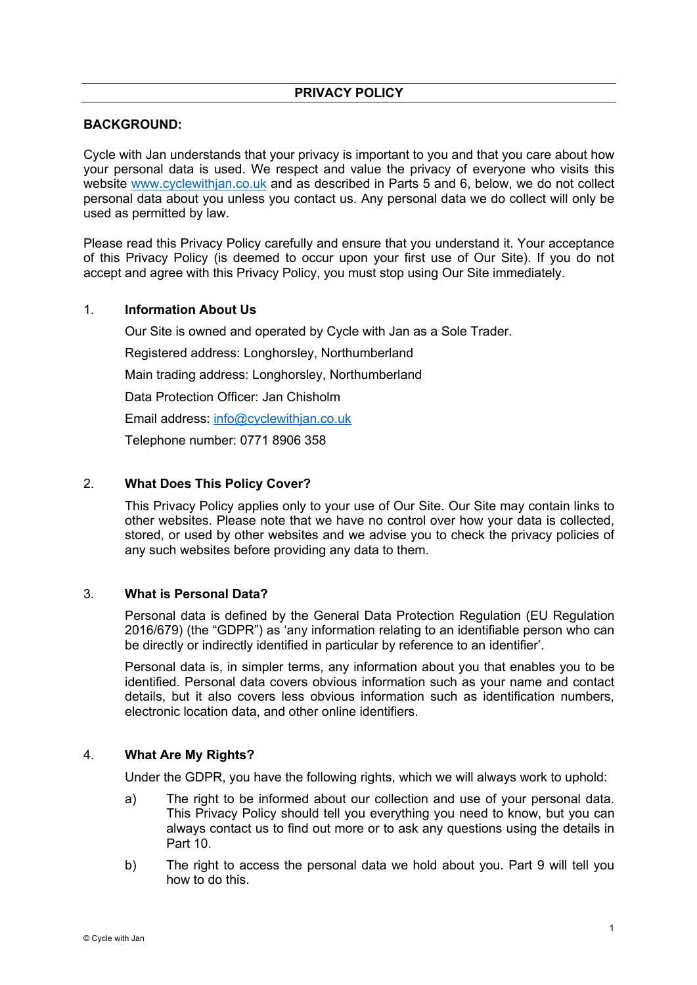# **PRIVACY POLICY**

## **BACKGROUND:**

Cycle with Jan understands that your privacy is important to you and that you care about how your personal data is used. We respect and value the privacy of everyone who visits this website www.cyclewithjan.co.uk and as described in Parts 5 and 6, below, we do not collect personal data about you unless you contact us. Any personal data we do collect will only be used as permitted by law.

Please read this Privacy Policy carefully and ensure that you understand it. Your acceptance of this Privacy Policy (is deemed to occur upon your first use of Our Site). If you do not accept and agree with this Privacy Policy, you must stop using Our Site immediately.

### 1. **Information About Us**

Our Site is owned and operated by Cycle with Jan as a Sole Trader.

Registered address: Longhorsley, Northumberland

Main trading address: Longhorsley, Northumberland

Data Protection Officer: Jan Chisholm

Email address: info@cyclewithjan.co.uk

Telephone number: 0771 8906 358

## 2. **What Does This Policy Cover?**

This Privacy Policy applies only to your use of Our Site. Our Site may contain links to other websites. Please note that we have no control over how your data is collected, stored, or used by other websites and we advise you to check the privacy policies of any such websites before providing any data to them.

#### 3. **What is Personal Data?**

Personal data is defined by the General Data Protection Regulation (EU Regulation 2016/679) (the "GDPR") as 'any information relating to an identifiable person who can be directly or indirectly identified in particular by reference to an identifier'.

Personal data is, in simpler terms, any information about you that enables you to be identified. Personal data covers obvious information such as your name and contact details, but it also covers less obvious information such as identification numbers, electronic location data, and other online identifiers.

### 4. **What Are My Rights?**

Under the GDPR, you have the following rights, which we will always work to uphold:

- a) The right to be informed about our collection and use of your personal data. This Privacy Policy should tell you everything you need to know, but you can always contact us to find out more or to ask any questions using the details in Part 10.
- b) The right to access the personal data we hold about you. Part 9 will tell you how to do this.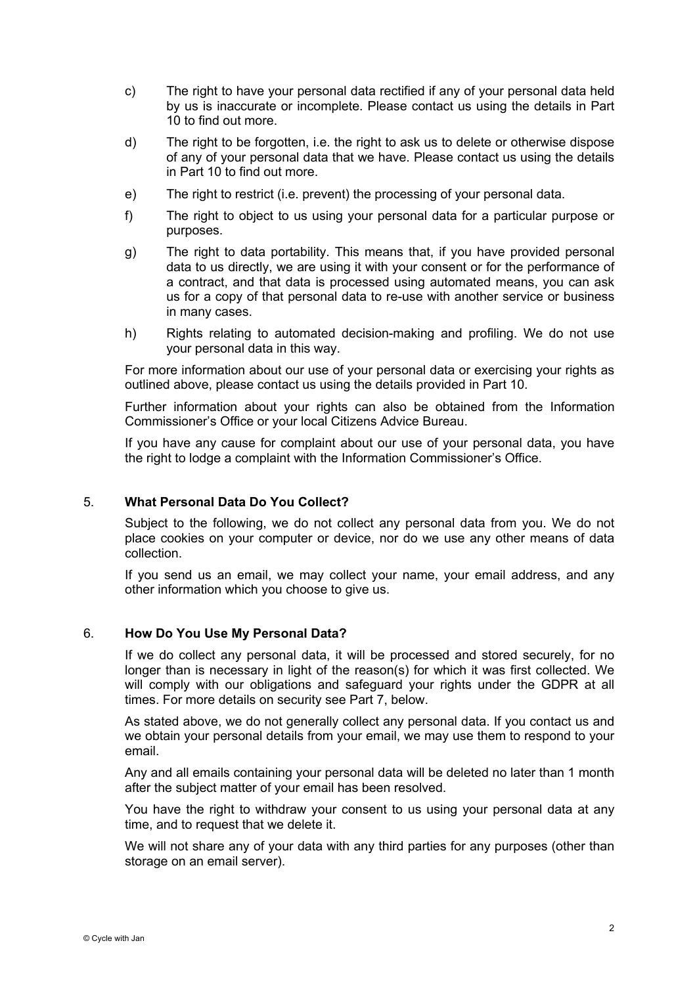- c) The right to have your personal data rectified if any of your personal data held by us is inaccurate or incomplete. Please contact us using the details in Part 10 to find out more.
- d) The right to be forgotten, i.e. the right to ask us to delete or otherwise dispose of any of your personal data that we have. Please contact us using the details in Part 10 to find out more.
- e) The right to restrict (i.e. prevent) the processing of your personal data.
- f) The right to object to us using your personal data for a particular purpose or purposes.
- g) The right to data portability. This means that, if you have provided personal data to us directly, we are using it with your consent or for the performance of a contract, and that data is processed using automated means, you can ask us for a copy of that personal data to re-use with another service or business in many cases.
- h) Rights relating to automated decision-making and profiling. We do not use your personal data in this way.

For more information about our use of your personal data or exercising your rights as outlined above, please contact us using the details provided in Part 10.

Further information about your rights can also be obtained from the Information Commissioner's Office or your local Citizens Advice Bureau.

If you have any cause for complaint about our use of your personal data, you have the right to lodge a complaint with the Information Commissioner's Office.

## 5. **What Personal Data Do You Collect?**

Subject to the following, we do not collect any personal data from you. We do not place cookies on your computer or device, nor do we use any other means of data collection.

If you send us an email, we may collect your name, your email address, and any other information which you choose to give us.

#### 6. **How Do You Use My Personal Data?**

If we do collect any personal data, it will be processed and stored securely, for no longer than is necessary in light of the reason(s) for which it was first collected. We will comply with our obligations and safeguard your rights under the GDPR at all times. For more details on security see Part 7, below.

As stated above, we do not generally collect any personal data. If you contact us and we obtain your personal details from your email, we may use them to respond to your email.

Any and all emails containing your personal data will be deleted no later than 1 month after the subject matter of your email has been resolved.

You have the right to withdraw your consent to us using your personal data at any time, and to request that we delete it.

We will not share any of your data with any third parties for any purposes (other than storage on an email server).